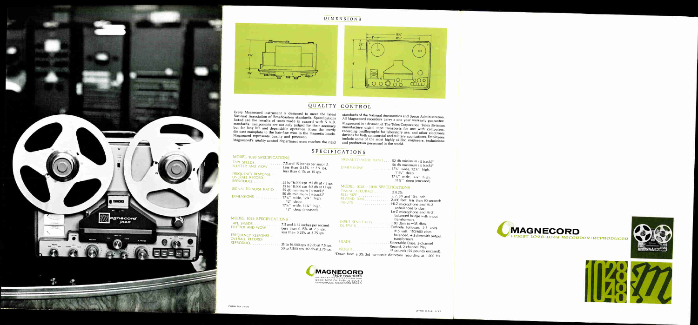

## DIMENSIONS



# QUALITY CONTROL

Every Magnecord instrument is designed to meet the latest National Association of Broadcasters standards. Specifications listed are the results of tests made in accord with N.A.B. standards. Components are not only judged for their accuracy but for long life and dependable operation. From the sturdy die cast mainplate to the hair-fine wire in the magnetic heads, Magnecord represents quality and precision. Magnecord's quality control department even reaches the rigid

| MODEL 1028 SPECIFICATIONS                                                       | SICN          |
|---------------------------------------------------------------------------------|---------------|
| TAPF SPEEDS 7.5 and 15 inches per second.                                       |               |
| FLUTTER AND WOW Less than 0.15% at 7.5 ips;                                     | <b>DIMEN</b>  |
| less than 0.1% at 15 ips.<br>FREQUENCY RESPONSE -                               |               |
| OVERALL RECORD                                                                  |               |
| REPRODUCE $\ldots \ldots \ldots \ldots 35$ to 16,000 cps $\pm 2$ db at 7.5 ips. |               |
| 35 to 18,000 cps $\pm$ 2 db at 15 ips.                                          | MODE          |
| SIGNAL-TO-NOISE RATIO55 db minimum (% track)*                                   | <b>TIMING</b> |
| 50 db minimum (1/4 track)*                                                      | <b>REEL S</b> |
| DIMENSIONS. 17%" wide, 12%" high,                                               | <b>REWIN</b>  |
| 12" deep.                                                                       | <b>INPUTS</b> |
| 17%" wide, 14%" high,                                                           |               |
| 12" deep (encased).                                                             |               |
|                                                                                 |               |

standards of the National Aeronautics and Space Administration. All Magnecord recorders carry a one year warranty guarantee. Magnecord is a division of The Telex Corporation. Telex divisions manufacture digital tape transports for use with computers, recording oscillographs for laboratory use, and other electronic devices for both commercial and military applications. Employees include some of the most highly skilled engineers, technicians and production personnel in the world.

## SPECIFICATIONS

WEIGHT \*Down from

| MODEL 1048 SPECIFICATIONS                                                                          |                       |
|----------------------------------------------------------------------------------------------------|-----------------------|
| TAPE SPEEDS 7.5 and 3.75 inches per second.<br>FLUTTER AND WOW Less than 0.15% at 7.5 ips;         | <b>INPUT</b><br>OUTPU |
| less than 0.25% at 3.75 ips.<br>FREQUENCY RESPONSE-                                                |                       |
| OVERALL RECORD/<br>REPRODUCE $\ldots \ldots \ldots \ldots 35$ to 16,000 cps $\pm 2$ db at 7.5 ips. | <b>HEADS</b>          |
| 50 to 7,500 cps ±2 db at 3.75 ips.                                                                 | WEIGHT                |

| SIGNAL TO-NOISE-RATIO 52 db minimum (% track)*<br>DIMENSIONS17%" wide, 12%" high,                                                                                                | 50 db minimum (% track)*<br>11%" deep.<br>17%" wide, 14%" high,<br>11%" deep (encased).                                              |
|----------------------------------------------------------------------------------------------------------------------------------------------------------------------------------|--------------------------------------------------------------------------------------------------------------------------------------|
| MODEL 1028-1048 SPECIFICATIONS<br>TIMING ACCURACY  ±0.2%<br>REEL SIZE 5, 7, 8% and 10% inch.<br>REWIND TIME 2,400 feet, less than 90 seconds.<br>INPUTS Hi-Z microphone and Hi-Z | unbalanced bridge;                                                                                                                   |
| INPUT SENSITIVITY - 90 dbm to -35 dbm.<br>OUTPUTS. Cathode follower, 2.5 volts                                                                                                   | Lo-Z microphone and Hi-Z<br>balanced bridge with input<br>transformers.<br>$±.5$ volt. 150/600 ohm<br>balanced, $+3$ dbm with output |
| WEIGHT $\ldots$ $\ldots$ $\ldots$ $\ldots$ $\ldots$ 47 pounds (55 pounds encased).<br>own from a 3% 3rd harmonic distortion recording at 1,000 Hz.                               | transformers.<br>Record, 2-channel Play.                                                                                             |

MAGNECORD FINEST 1028-1048 RECORDER/REPRODUCER